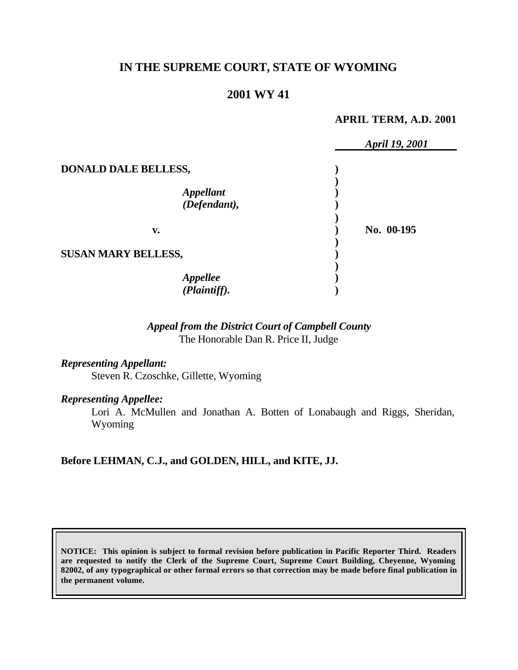# **IN THE SUPREME COURT, STATE OF WYOMING**

# **2001 WY 41**

#### **APRIL TERM, A.D. 2001**

|                             | April 19, 2001 |
|-----------------------------|----------------|
| <b>DONALD DALE BELLESS,</b> |                |
| Appellant<br>(Defendant),   |                |
| v.                          | No. 00-195     |
| <b>SUSAN MARY BELLESS,</b>  |                |
| Appellee<br>(Plaintiff).    |                |

### *Appeal from the District Court of Campbell County* The Honorable Dan R. Price II, Judge

### *Representing Appellant:*

Steven R. Czoschke, Gillette, Wyoming

## *Representing Appellee:*

Lori A. McMullen and Jonathan A. Botten of Lonabaugh and Riggs, Sheridan, Wyoming

### **Before LEHMAN, C.J., and GOLDEN, HILL, and KITE, JJ.**

**NOTICE: This opinion is subject to formal revision before publication in Pacific Reporter Third. Readers are requested to notify the Clerk of the Supreme Court, Supreme Court Building, Cheyenne, Wyoming 82002, of any typographical or other formal errors so that correction may be made before final publication in the permanent volume.**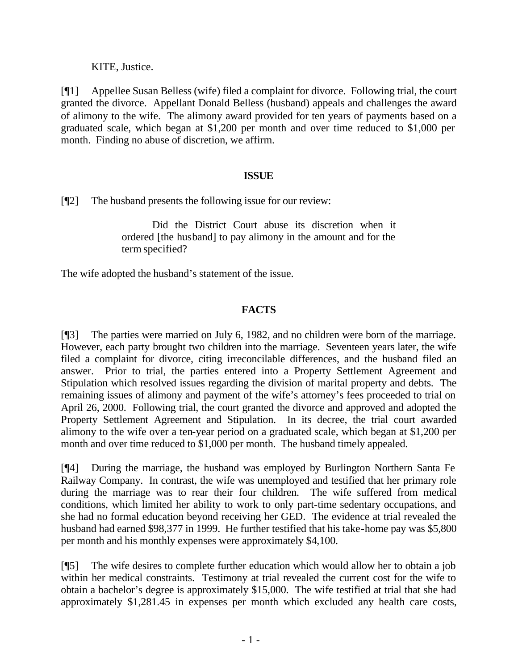KITE, Justice.

[¶1] Appellee Susan Belless (wife) filed a complaint for divorce. Following trial, the court granted the divorce. Appellant Donald Belless (husband) appeals and challenges the award of alimony to the wife. The alimony award provided for ten years of payments based on a graduated scale, which began at \$1,200 per month and over time reduced to \$1,000 per month. Finding no abuse of discretion, we affirm.

### **ISSUE**

[¶2] The husband presents the following issue for our review:

Did the District Court abuse its discretion when it ordered [the husband] to pay alimony in the amount and for the term specified?

The wife adopted the husband's statement of the issue.

# **FACTS**

[¶3] The parties were married on July 6, 1982, and no children were born of the marriage. However, each party brought two children into the marriage. Seventeen years later, the wife filed a complaint for divorce, citing irreconcilable differences, and the husband filed an answer. Prior to trial, the parties entered into a Property Settlement Agreement and Stipulation which resolved issues regarding the division of marital property and debts. The remaining issues of alimony and payment of the wife's attorney's fees proceeded to trial on April 26, 2000. Following trial, the court granted the divorce and approved and adopted the Property Settlement Agreement and Stipulation. In its decree, the trial court awarded alimony to the wife over a ten-year period on a graduated scale, which began at \$1,200 per month and over time reduced to \$1,000 per month. The husband timely appealed.

[¶4] During the marriage, the husband was employed by Burlington Northern Santa Fe Railway Company. In contrast, the wife was unemployed and testified that her primary role during the marriage was to rear their four children. The wife suffered from medical conditions, which limited her ability to work to only part-time sedentary occupations, and she had no formal education beyond receiving her GED. The evidence at trial revealed the husband had earned \$98,377 in 1999. He further testified that his take-home pay was \$5,800 per month and his monthly expenses were approximately \$4,100.

[¶5] The wife desires to complete further education which would allow her to obtain a job within her medical constraints. Testimony at trial revealed the current cost for the wife to obtain a bachelor's degree is approximately \$15,000. The wife testified at trial that she had approximately \$1,281.45 in expenses per month which excluded any health care costs,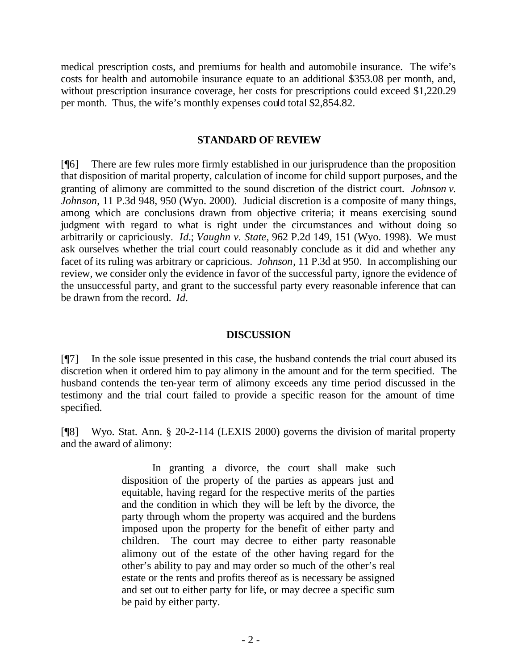medical prescription costs, and premiums for health and automobile insurance. The wife's costs for health and automobile insurance equate to an additional \$353.08 per month, and, without prescription insurance coverage, her costs for prescriptions could exceed \$1,220.29 per month. Thus, the wife's monthly expenses could total \$2,854.82.

#### **STANDARD OF REVIEW**

[¶6] There are few rules more firmly established in our jurisprudence than the proposition that disposition of marital property, calculation of income for child support purposes, and the granting of alimony are committed to the sound discretion of the district court. *Johnson v. Johnson*, 11 P.3d 948, 950 (Wyo. 2000). Judicial discretion is a composite of many things, among which are conclusions drawn from objective criteria; it means exercising sound judgment with regard to what is right under the circumstances and without doing so arbitrarily or capriciously. *Id.*; *Vaughn v. State*, 962 P.2d 149, 151 (Wyo. 1998). We must ask ourselves whether the trial court could reasonably conclude as it did and whether any facet of its ruling was arbitrary or capricious. *Johnson*, 11 P.3d at 950*.* In accomplishing our review, we consider only the evidence in favor of the successful party, ignore the evidence of the unsuccessful party, and grant to the successful party every reasonable inference that can be drawn from the record. *Id.*

#### **DISCUSSION**

[¶7] In the sole issue presented in this case, the husband contends the trial court abused its discretion when it ordered him to pay alimony in the amount and for the term specified. The husband contends the ten-year term of alimony exceeds any time period discussed in the testimony and the trial court failed to provide a specific reason for the amount of time specified.

[¶8] Wyo. Stat. Ann. § 20-2-114 (LEXIS 2000) governs the division of marital property and the award of alimony:

> In granting a divorce, the court shall make such disposition of the property of the parties as appears just and equitable, having regard for the respective merits of the parties and the condition in which they will be left by the divorce, the party through whom the property was acquired and the burdens imposed upon the property for the benefit of either party and children. The court may decree to either party reasonable alimony out of the estate of the other having regard for the other's ability to pay and may order so much of the other's real estate or the rents and profits thereof as is necessary be assigned and set out to either party for life, or may decree a specific sum be paid by either party.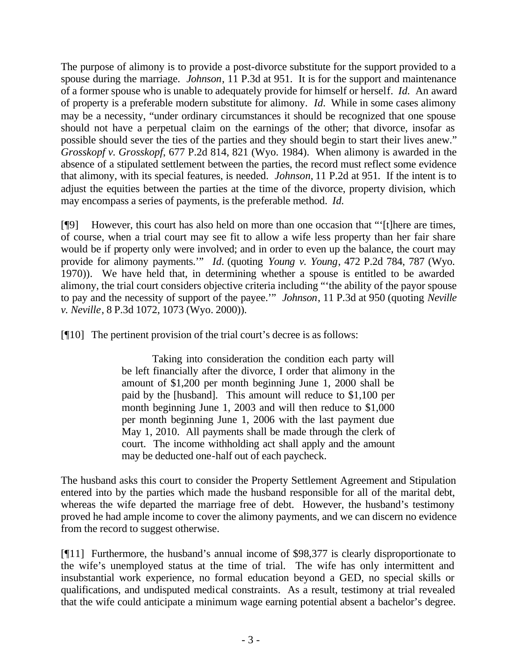The purpose of alimony is to provide a post-divorce substitute for the support provided to a spouse during the marriage. *Johnson*, 11 P.3d at 951. It is for the support and maintenance of a former spouse who is unable to adequately provide for himself or herself. *Id.* An award of property is a preferable modern substitute for alimony. *Id.* While in some cases alimony may be a necessity, "under ordinary circumstances it should be recognized that one spouse should not have a perpetual claim on the earnings of the other; that divorce, insofar as possible should sever the ties of the parties and they should begin to start their lives anew." *Grosskopf v. Grosskopf*, 677 P.2d 814, 821 (Wyo. 1984). When alimony is awarded in the absence of a stipulated settlement between the parties, the record must reflect some evidence that alimony, with its special features, is needed. *Johnson,* 11 P.2d at 951*.* If the intent is to adjust the equities between the parties at the time of the divorce, property division, which may encompass a series of payments, is the preferable method. *Id.*

[¶9] However, this court has also held on more than one occasion that "'[t]here are times, of course, when a trial court may see fit to allow a wife less property than her fair share would be if property only were involved; and in order to even up the balance, the court may provide for alimony payments.'" *Id.* (quoting *Young v. Young*, 472 P.2d 784, 787 (Wyo. 1970)).We have held that, in determining whether a spouse is entitled to be awarded alimony, the trial court considers objective criteria including "'the ability of the payor spouse to pay and the necessity of support of the payee.'" *Johnson*, 11 P.3d at 950 (quoting *Neville v. Neville*, 8 P.3d 1072, 1073 (Wyo. 2000)).

[¶10] The pertinent provision of the trial court's decree is as follows:

Taking into consideration the condition each party will be left financially after the divorce, I order that alimony in the amount of \$1,200 per month beginning June 1, 2000 shall be paid by the [husband]. This amount will reduce to \$1,100 per month beginning June 1, 2003 and will then reduce to \$1,000 per month beginning June 1, 2006 with the last payment due May 1, 2010. All payments shall be made through the clerk of court. The income withholding act shall apply and the amount may be deducted one-half out of each paycheck.

The husband asks this court to consider the Property Settlement Agreement and Stipulation entered into by the parties which made the husband responsible for all of the marital debt, whereas the wife departed the marriage free of debt. However, the husband's testimony proved he had ample income to cover the alimony payments, and we can discern no evidence from the record to suggest otherwise.

[¶11] Furthermore, the husband's annual income of \$98,377 is clearly disproportionate to the wife's unemployed status at the time of trial. The wife has only intermittent and insubstantial work experience, no formal education beyond a GED, no special skills or qualifications, and undisputed medical constraints. As a result, testimony at trial revealed that the wife could anticipate a minimum wage earning potential absent a bachelor's degree.